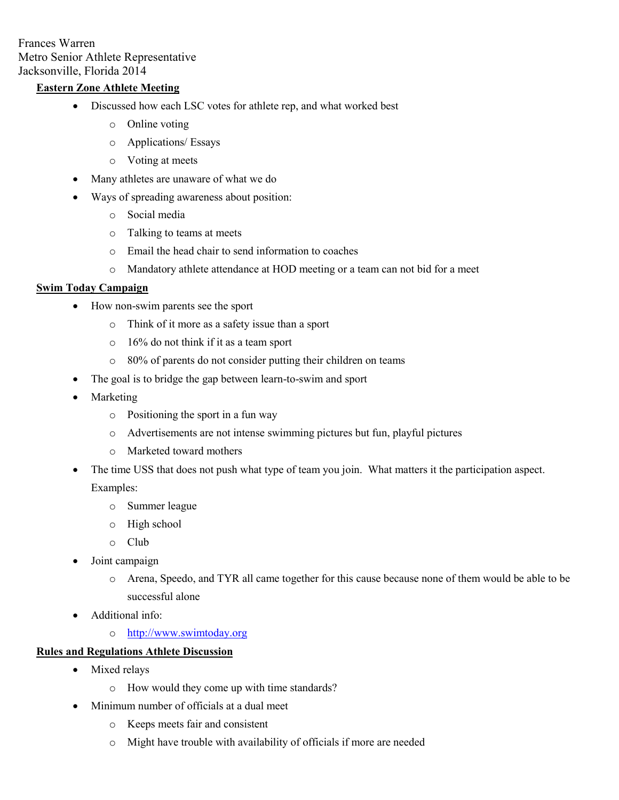Frances Warren Metro Senior Athlete Representative Jacksonville, Florida 2014

## **Eastern Zone Athlete Meeting**

- Discussed how each LSC votes for athlete rep, and what worked best
	- o Online voting
	- o Applications/ Essays
	- o Voting at meets
- Many athletes are unaware of what we do
- Ways of spreading awareness about position:
	- o Social media
	- o Talking to teams at meets
	- o Email the head chair to send information to coaches
	- o Mandatory athlete attendance at HOD meeting or a team can not bid for a meet

#### **Swim Today Campaign**

- How non-swim parents see the sport
	- o Think of it more as a safety issue than a sport
	- o 16% do not think if it as a team sport
	- o 80% of parents do not consider putting their children on teams
- The goal is to bridge the gap between learn-to-swim and sport
- Marketing
	- o Positioning the sport in a fun way
	- o Advertisements are not intense swimming pictures but fun, playful pictures
	- o Marketed toward mothers
- The time USS that does not push what type of team you join. What matters it the participation aspect. Examples:
	- o Summer league
	- o High school
	- o Club
- Joint campaign
	- o Arena, Speedo, and TYR all came together for this cause because none of them would be able to be successful alone
- Additional info:
	- o [http://www.swimtoday.org](http://www.swimtoday.org/)

### **Rules and Regulations Athlete Discussion**

- Mixed relays
	- o How would they come up with time standards?
- Minimum number of officials at a dual meet
	- o Keeps meets fair and consistent
	- o Might have trouble with availability of officials if more are needed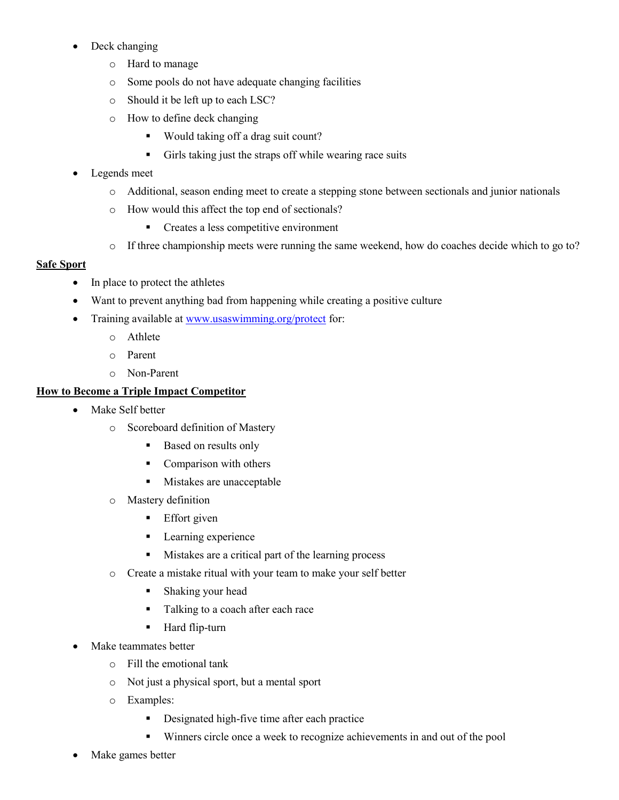- Deck changing
	- o Hard to manage
	- o Some pools do not have adequate changing facilities
	- o Should it be left up to each LSC?
	- o How to define deck changing
		- Would taking off a drag suit count?
		- Girls taking just the straps off while wearing race suits
- Legends meet
	- o Additional, season ending meet to create a stepping stone between sectionals and junior nationals
	- o How would this affect the top end of sectionals?
		- Creates a less competitive environment
	- o If three championship meets were running the same weekend, how do coaches decide which to go to?

## **Safe Sport**

- In place to protect the athletes
- Want to prevent anything bad from happening while creating a positive culture
- Training available at [www.usaswimming.org/protect](http://www.usaswimming.org/protect) for:
	- o Athlete
	- o Parent
	- o Non-Parent

# **How to Become a Triple Impact Competitor**

- Make Self better
	- o Scoreboard definition of Mastery
		- Based on results only
		- Comparison with others
		- **Mistakes are unacceptable**
	- o Mastery definition
		- **Effort** given
		- **Learning experience**
		- Mistakes are a critical part of the learning process
	- o Create a mistake ritual with your team to make your self better
		- **Shaking your head**
		- Talking to a coach after each race
		- **Hard flip-turn**
- Make teammates better
	- o Fill the emotional tank
	- o Not just a physical sport, but a mental sport
	- o Examples:
		- Designated high-five time after each practice
		- Winners circle once a week to recognize achievements in and out of the pool
- Make games better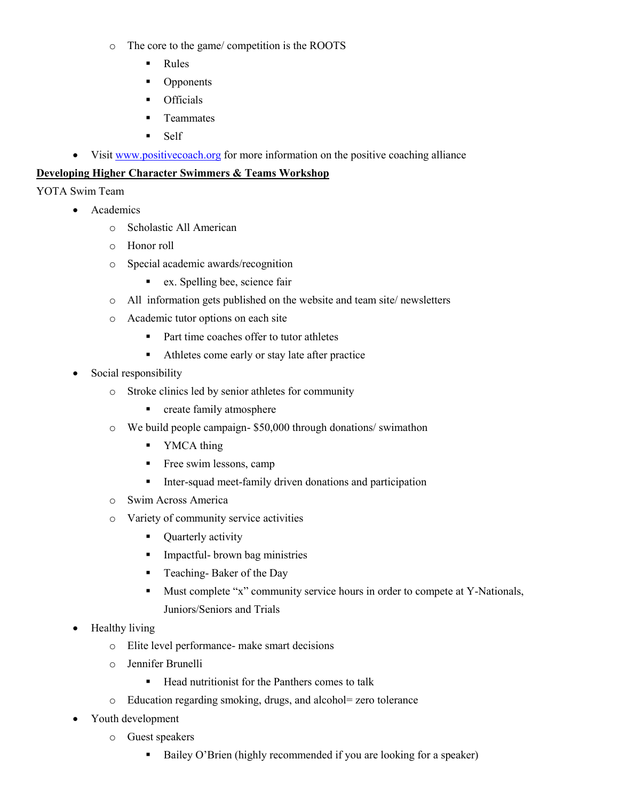- o The core to the game/ competition is the ROOTS
	- Rules
	- Opponents
	- **•** Officials
	- Teammates
	- Self
- Visit [www.positivecoach.org](http://www.positivecoach.org/) for more information on the positive coaching alliance

# **Developing Higher Character Swimmers & Teams Workshop**

## YOTA Swim Team

- Academics
	- o Scholastic All American
	- o Honor roll
	- o Special academic awards/recognition
		- ex. Spelling bee, science fair
	- o All information gets published on the website and team site/ newsletters
	- o Academic tutor options on each site
		- Part time coaches offer to tutor athletes
		- Athletes come early or stay late after practice
- Social responsibility
	- o Stroke clinics led by senior athletes for community
		- **•** create family atmosphere
	- o We build people campaign- \$50,000 through donations/ swimathon
		- YMCA thing
		- Free swim lessons, camp
		- Inter-squad meet-family driven donations and participation
	- o Swim Across America
	- o Variety of community service activities
		- Quarterly activity
		- **Impactful-** brown bag ministries
		- **Teaching-Baker of the Day**
		- Must complete "x" community service hours in order to compete at Y-Nationals, Juniors/Seniors and Trials
- Healthy living
	- o Elite level performance- make smart decisions
	- o Jennifer Brunelli
		- $\blacksquare$  Head nutritionist for the Panthers comes to talk
	- o Education regarding smoking, drugs, and alcohol= zero tolerance
- Youth development
	- o Guest speakers
		- Bailey O'Brien (highly recommended if you are looking for a speaker)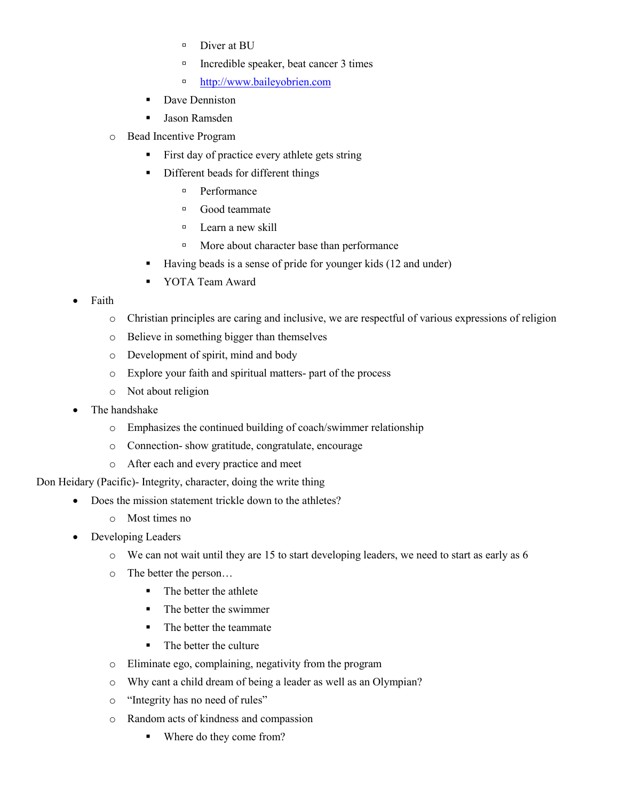- Diver at BU
- Incredible speaker, beat cancer 3 times
- [http://www.baileyobrien.com](http://www.baileyobrien.com/)
- Dave Denniston
- Jason Ramsden
- o Bead Incentive Program
	- First day of practice every athlete gets string
	- Different beads for different things
		- <sup>D</sup> Performance
		- Good teammate
		- <sup>n</sup> Learn a new skill
		- **More about character base than performance**
	- Having beads is a sense of pride for younger kids (12 and under)
	- **YOTA Team Award**
- Faith
	- o Christian principles are caring and inclusive, we are respectful of various expressions of religion
	- o Believe in something bigger than themselves
	- o Development of spirit, mind and body
	- o Explore your faith and spiritual matters- part of the process
	- o Not about religion
- The handshake
	- o Emphasizes the continued building of coach/swimmer relationship
	- o Connection- show gratitude, congratulate, encourage
	- o After each and every practice and meet

Don Heidary (Pacific)- Integrity, character, doing the write thing

- Does the mission statement trickle down to the athletes?
	- o Most times no
- Developing Leaders
	- $\circ$  We can not wait until they are 15 to start developing leaders, we need to start as early as 6
	- o The better the person…
		- The better the athlete
		- The better the swimmer
		- The better the teammate
		- The better the culture
	- o Eliminate ego, complaining, negativity from the program
	- o Why cant a child dream of being a leader as well as an Olympian?
	- o "Integrity has no need of rules"
	- o Random acts of kindness and compassion
		- Where do they come from?